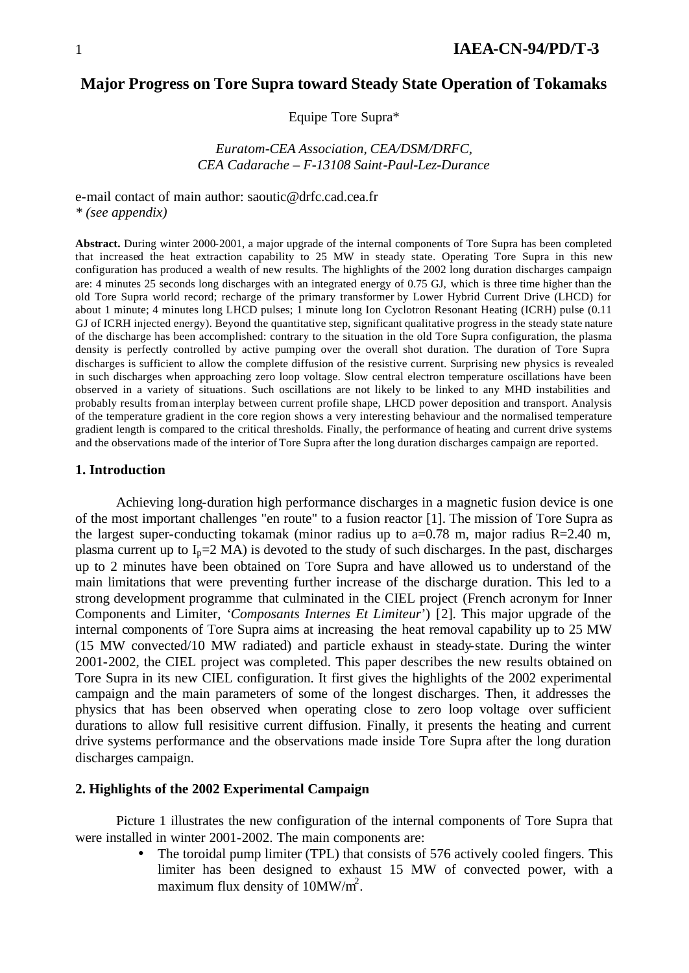# **Major Progress on Tore Supra toward Steady State Operation of Tokamaks**

Equipe Tore Supra\*

*Euratom-CEA Association, CEA/DSM/DRFC, CEA Cadarache – F-13108 Saint-Paul-Lez-Durance*

e-mail contact of main author: saoutic@drfc.cad.cea.fr *\* (see appendix)*

**Abstract.** During winter 2000-2001, a major upgrade of the internal components of Tore Supra has been completed that increased the heat extraction capability to 25 MW in steady state. Operating Tore Supra in this new configuration has produced a wealth of new results. The highlights of the 2002 long duration discharges campaign are: 4 minutes 25 seconds long discharges with an integrated energy of 0.75 GJ, which is three time higher than the old Tore Supra world record; recharge of the primary transformer by Lower Hybrid Current Drive (LHCD) for about 1 minute; 4 minutes long LHCD pulses; 1 minute long Ion Cyclotron Resonant Heating (ICRH) pulse (0.11 GJ of ICRH injected energy). Beyond the quantitative step, significant qualitative progress in the steady state nature of the discharge has been accomplished: contrary to the situation in the old Tore Supra configuration, the plasma density is perfectly controlled by active pumping over the overall shot duration. The duration of Tore Supra discharges is sufficient to allow the complete diffusion of the resistive current. Surprising new physics is revealed in such discharges when approaching zero loop voltage. Slow central electron temperature oscillations have been observed in a variety of situations. Such oscillations are not likely to be linked to any MHD instabilities and probably results from an interplay between current profile shape, LHCD power deposition and transport. Analysis of the temperature gradient in the core region shows a very interesting behaviour and the normalised temperature gradient length is compared to the critical thresholds. Finally, the performance of heating and current drive systems and the observations made of the interior of Tore Supra after the long duration discharges campaign are reported.

#### **1. Introduction**

Achieving long-duration high performance discharges in a magnetic fusion device is one of the most important challenges "en route" to a fusion reactor [1]. The mission of Tore Supra as the largest super-conducting tokamak (minor radius up to  $a=0.78$  m, major radius R=2.40 m, plasma current up to  $I_p=2 \text{ MA}$ ) is devoted to the study of such discharges. In the past, discharges up to 2 minutes have been obtained on Tore Supra and have allowed us to understand of the main limitations that were preventing further increase of the discharge duration. This led to a strong development programme that culminated in the CIEL project (French acronym for Inner Components and Limiter, *'Composants Internes Et Limiteur*') [2]. This major upgrade of the internal components of Tore Supra aims at increasing the heat removal capability up to 25 MW (15 MW convected/10 MW radiated) and particle exhaust in steady-state. During the winter 2001-2002, the CIEL project was completed. This paper describes the new results obtained on Tore Supra in its new CIEL configuration. It first gives the highlights of the 2002 experimental campaign and the main parameters of some of the longest discharges. Then, it addresses the physics that has been observed when operating close to zero loop voltage over sufficient durations to allow full resisitive current diffusion. Finally, it presents the heating and current drive systems performance and the observations made inside Tore Supra after the long duration discharges campaign.

#### **2. Highlights of the 2002 Experimental Campaign**

Picture 1 illustrates the new configuration of the internal components of Tore Supra that were installed in winter 2001-2002. The main components are:

> The toroidal pump limiter (TPL) that consists of 576 actively cooled fingers. This limiter has been designed to exhaust 15 MW of convected power, with a maximum flux density of  $10MW/m^2$ .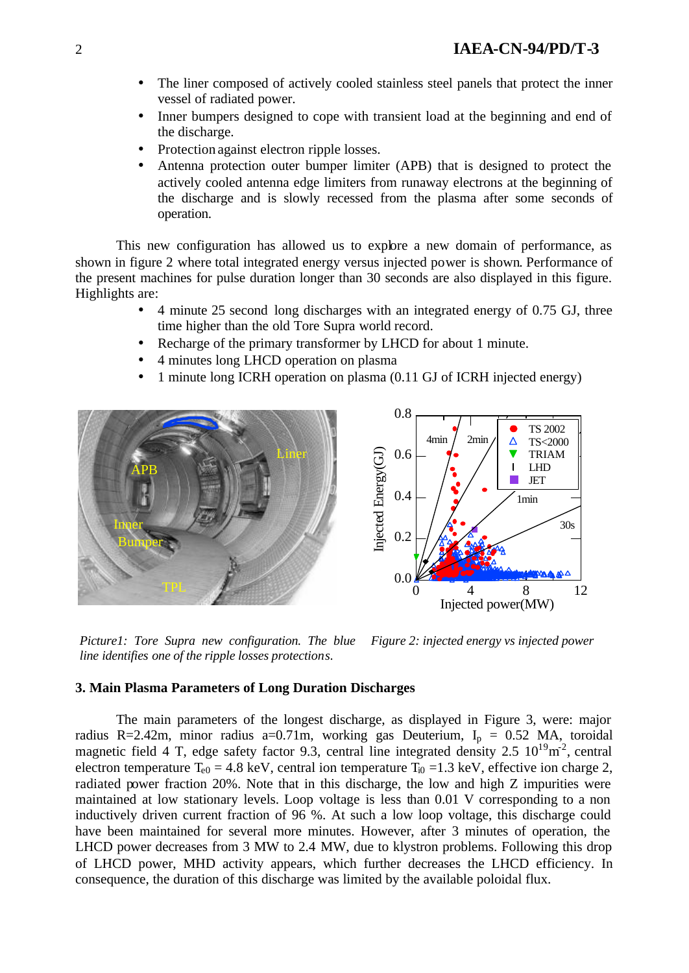- The liner composed of actively cooled stainless steel panels that protect the inner vessel of radiated power.
- Inner bumpers designed to cope with transient load at the beginning and end of the discharge.
- Protection against electron ripple losses.
- Antenna protection outer bumper limiter (APB) that is designed to protect the actively cooled antenna edge limiters from runaway electrons at the beginning of the discharge and is slowly recessed from the plasma after some seconds of operation.

This new configuration has allowed us to explore a new domain of performance, as shown in figure 2 where total integrated energy versus injected power is shown. Performance of the present machines for pulse duration longer than 30 seconds are also displayed in this figure. Highlights are:

- 4 minute 25 second long discharges with an integrated energy of 0.75 GJ, three time higher than the old Tore Supra world record.
- Recharge of the primary transformer by LHCD for about 1 minute.
- 4 minutes long LHCD operation on plasma
- 1 minute long ICRH operation on plasma (0.11 GJ of ICRH injected energy)



*Picture1: Tore Supra new configuration. The blue line identifies one of the ripple losses protections. Figure 2: injected energy vs injected power*

## **3. Main Plasma Parameters of Long Duration Discharges**

The main parameters of the longest discharge, as displayed in Figure 3, were: major radius R=2.42m, minor radius a=0.71m, working gas Deuterium,  $I_p = 0.52$  MA, toroidal magnetic field 4 T, edge safety factor 9.3, central line integrated density 2.5  $10^{19}$ m<sup>2</sup>, central electron temperature  $T_{e0} = 4.8 \text{ keV}$ , central ion temperature  $T_{i0} = 1.3 \text{ keV}$ , effective ion charge 2, radiated power fraction 20%. Note that in this discharge, the low and high Z impurities were maintained at low stationary levels. Loop voltage is less than 0.01 V corresponding to a non inductively driven current fraction of 96 %. At such a low loop voltage, this discharge could have been maintained for several more minutes. However, after 3 minutes of operation, the LHCD power decreases from 3 MW to 2.4 MW, due to klystron problems. Following this drop of LHCD power, MHD activity appears, which further decreases the LHCD efficiency. In consequence, the duration of this discharge was limited by the available poloidal flux.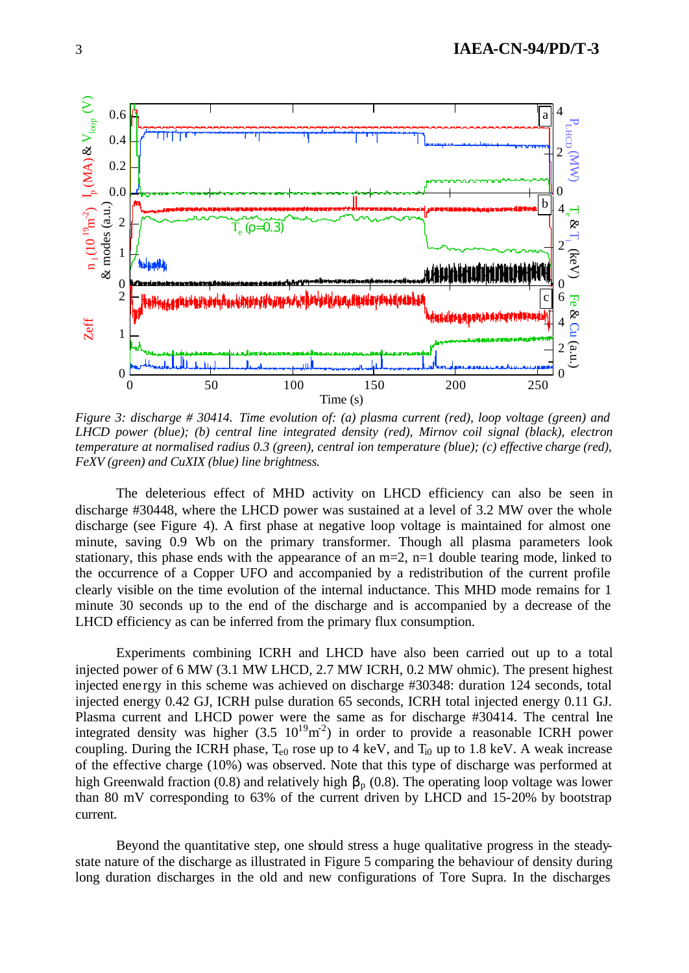

*Figure 3: discharge # 30414. Time evolution of: (a) plasma current (red), loop voltage (green) and LHCD power (blue); (b) central line integrated density (red), Mirnov coil signal (black), electron temperature at normalised radius 0.3 (green), central ion temperature (blue); (c) effective charge (red), FeXV (green) and CuXIX (blue) line brightness.*

The deleterious effect of MHD activity on LHCD efficiency can also be seen in discharge #30448, where the LHCD power was sustained at a level of 3.2 MW over the whole discharge (see Figure 4). A first phase at negative loop voltage is maintained for almost one minute, saving 0.9 Wb on the primary transformer. Though all plasma parameters look stationary, this phase ends with the appearance of an  $m=2$ ,  $n=1$  double tearing mode, linked to the occurrence of a Copper UFO and accompanied by a redistribution of the current profile clearly visible on the time evolution of the internal inductance. This MHD mode remains for 1 minute 30 seconds up to the end of the discharge and is accompanied by a decrease of the LHCD efficiency as can be inferred from the primary flux consumption.

Experiments combining ICRH and LHCD have also been carried out up to a total injected power of 6 MW (3.1 MW LHCD, 2.7 MW ICRH, 0.2 MW ohmic). The present highest injected ene rgy in this scheme was achieved on discharge #30348: duration 124 seconds, total injected energy 0.42 GJ, ICRH pulse duration 65 seconds, ICRH total injected energy 0.11 GJ. Plasma current and LHCD power were the same as for discharge #30414. The central line integrated density was higher  $(3.5 \ 10^{19} \text{m}^2)$  in order to provide a reasonable ICRH power coupling. During the ICRH phase,  $T_{e0}$  rose up to 4 keV, and  $T_{i0}$  up to 1.8 keV. A weak increase of the effective charge (10%) was observed. Note that this type of discharge was performed at high Greenwald fraction (0.8) and relatively high  $\beta_p$  (0.8). The operating loop voltage was lower than 80 mV corresponding to 63% of the current driven by LHCD and 15-20% by bootstrap current.

Beyond the quantitative step, one should stress a huge qualitative progress in the steadystate nature of the discharge as illustrated in Figure 5 comparing the behaviour of density during long duration discharges in the old and new configurations of Tore Supra. In the discharges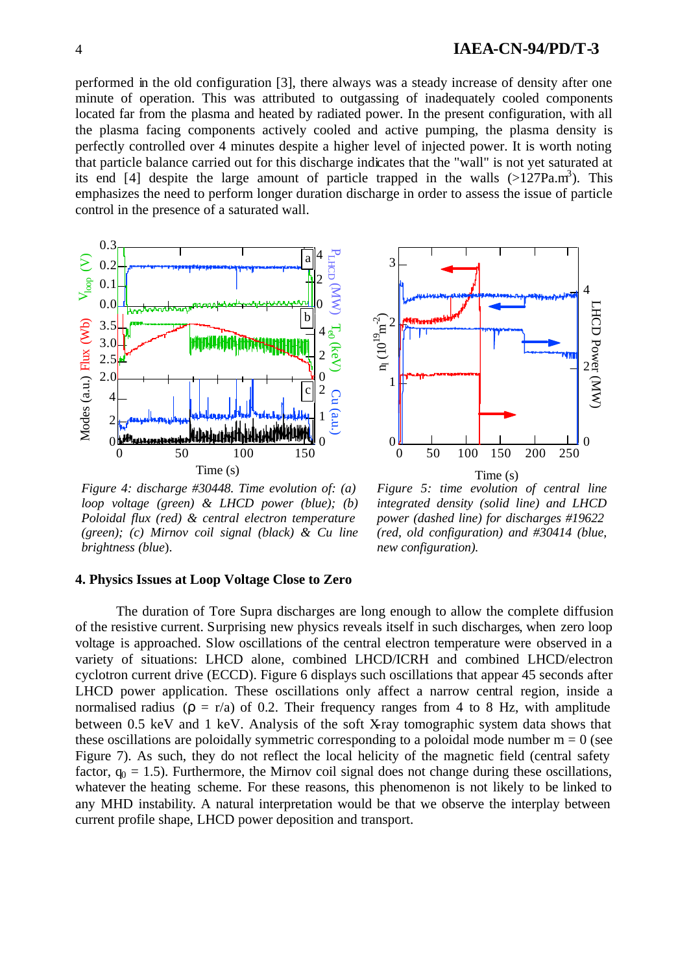4 **IAEA-CN-94/PD/T-3**

performed in the old configuration [3], there always was a steady increase of density after one minute of operation. This was attributed to outgassing of inadequately cooled components located far from the plasma and heated by radiated power. In the present configuration, with all the plasma facing components actively cooled and active pumping, the plasma density is perfectly controlled over 4 minutes despite a higher level of injected power. It is worth noting that particle balance carried out for this discharge indicates that the "wall" is not yet saturated at its end [4] despite the large amount of particle trapped in the walls  $(>127Pa.m<sup>3</sup>)$ . This emphasizes the need to perform longer duration discharge in order to assess the issue of particle control in the presence of a saturated wall.



*Figure 4: discharge #30448. Time evolution of: (a) loop voltage (green) & LHCD power (blue); (b) Poloidal flux (red) & central electron temperature (green); (c) Mirnov coil signal (black) & Cu line brightness (blue*).



*Figure 5: time evolution of central line integrated density (solid line) and LHCD power (dashed line) for discharges #19622 (red, old configuration) and #30414 (blue, new configuration).*

### **4. Physics Issues at Loop Voltage Close to Zero**

The duration of Tore Supra discharges are long enough to allow the complete diffusion of the resistive current. Surprising new physics reveals itself in such discharges, when zero loop voltage is approached. Slow oscillations of the central electron temperature were observed in a variety of situations: LHCD alone, combined LHCD/ICRH and combined LHCD/electron cyclotron current drive (ECCD). Figure 6 displays such oscillations that appear 45 seconds after LHCD power application. These oscillations only affect a narrow central region, inside a normalised radius ( $\rho = r/a$ ) of 0.2. Their frequency ranges from 4 to 8 Hz, with amplitude between 0.5 keV and 1 keV. Analysis of the soft X-ray tomographic system data shows that these oscillations are poloidally symmetric corresponding to a poloidal mode number  $m = 0$  (see Figure 7). As such, they do not reflect the local helicity of the magnetic field (central safety factor,  $q_0 = 1.5$ ). Furthermore, the Mirnov coil signal does not change during these oscillations, whatever the heating scheme. For these reasons, this phenomenon is not likely to be linked to any MHD instability. A natural interpretation would be that we observe the interplay between current profile shape, LHCD power deposition and transport.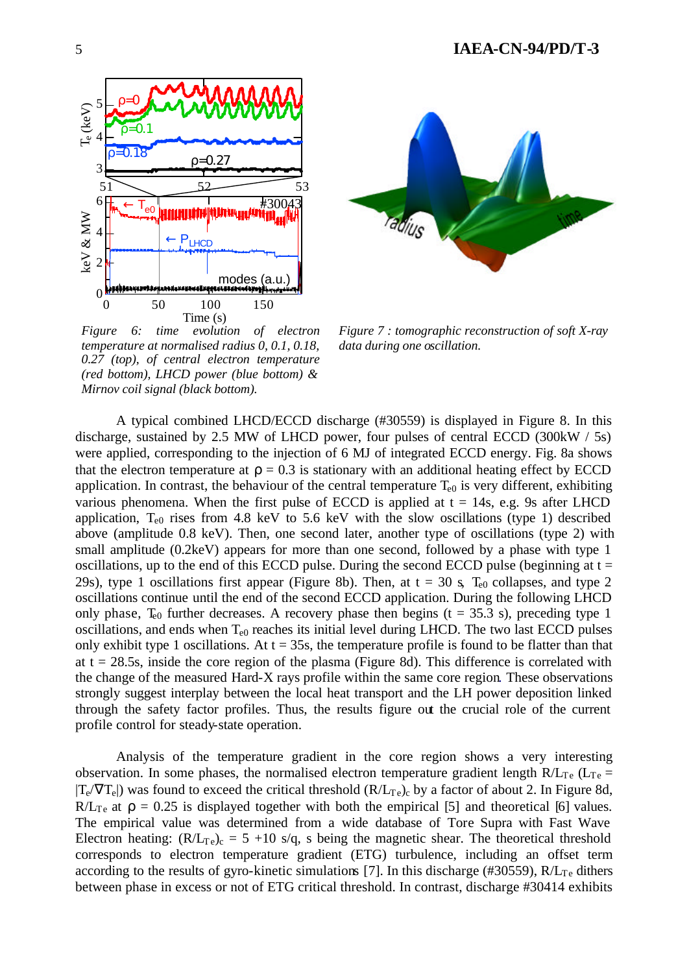



*Figure 7 : tomographic reconstruction of soft X-ray data during one oscillation.*

*Figure 6: time evolution of electron temperature at normalised radius 0, 0.1, 0.18, 0.27 (top), of central electron temperature (red bottom), LHCD power (blue bottom) & Mirnov coil signal (black bottom).*

A typical combined LHCD/ECCD discharge (#30559) is displayed in Figure 8. In this discharge, sustained by 2.5 MW of LHCD power, four pulses of central ECCD (300kW / 5s) were applied, corresponding to the injection of 6 MJ of integrated ECCD energy. Fig. 8a shows that the electron temperature at  $\rho = 0.3$  is stationary with an additional heating effect by ECCD application. In contrast, the behaviour of the central temperature  $T_{e0}$  is very different, exhibiting various phenomena. When the first pulse of ECCD is applied at  $t = 14s$ , e.g. 9s after LHCD application,  $T_{e0}$  rises from 4.8 keV to 5.6 keV with the slow oscillations (type 1) described above (amplitude 0.8 keV). Then, one second later, another type of oscillations (type 2) with small amplitude (0.2keV) appears for more than one second, followed by a phase with type 1 oscillations, up to the end of this ECCD pulse. During the second ECCD pulse (beginning at  $t =$ 29s), type 1 oscillations first appear (Figure 8b). Then, at  $t = 30$  s,  $T_{e0}$  collapses, and type 2 oscillations continue until the end of the second ECCD application. During the following LHCD only phase,  $T_{e0}$  further decreases. A recovery phase then begins (t = 35.3 s), preceding type 1 oscillations, and ends when  $T_{e0}$  reaches its initial level during LHCD. The two last ECCD pulses only exhibit type 1 oscillations. At  $t = 35s$ , the temperature profile is found to be flatter than that at  $t = 28.5s$ , inside the core region of the plasma (Figure 8d). This difference is correlated with the change of the measured Hard-X rays profile within the same core region. These observations strongly suggest interplay between the local heat transport and the LH power deposition linked through the safety factor profiles. Thus, the results figure out the crucial role of the current profile control for steady-state operation.

Analysis of the temperature gradient in the core region shows a very interesting observation. In some phases, the normalised electron temperature gradient length  $R/L_{Te}$  ( $L_{Te}$  =  $|T_e/\nabla T_e|$ ) was found to exceed the critical threshold  $(R/L_{Te})_c$  by a factor of about 2. In Figure 8d, R/L<sub>Te</sub> at  $\rho = 0.25$  is displayed together with both the empirical [5] and theoretical [6] values. The empirical value was determined from a wide database of Tore Supra with Fast Wave Electron heating:  $(R/L_{Te})_c = 5 + 10$  s/q, s being the magnetic shear. The theoretical threshold corresponds to electron temperature gradient (ETG) turbulence, including an offset term according to the results of gyro-kinetic simulations [7]. In this discharge (#30559),  $R/L<sub>Te</sub>$  dithers between phase in excess or not of ETG critical threshold. In contrast, discharge #30414 exhibits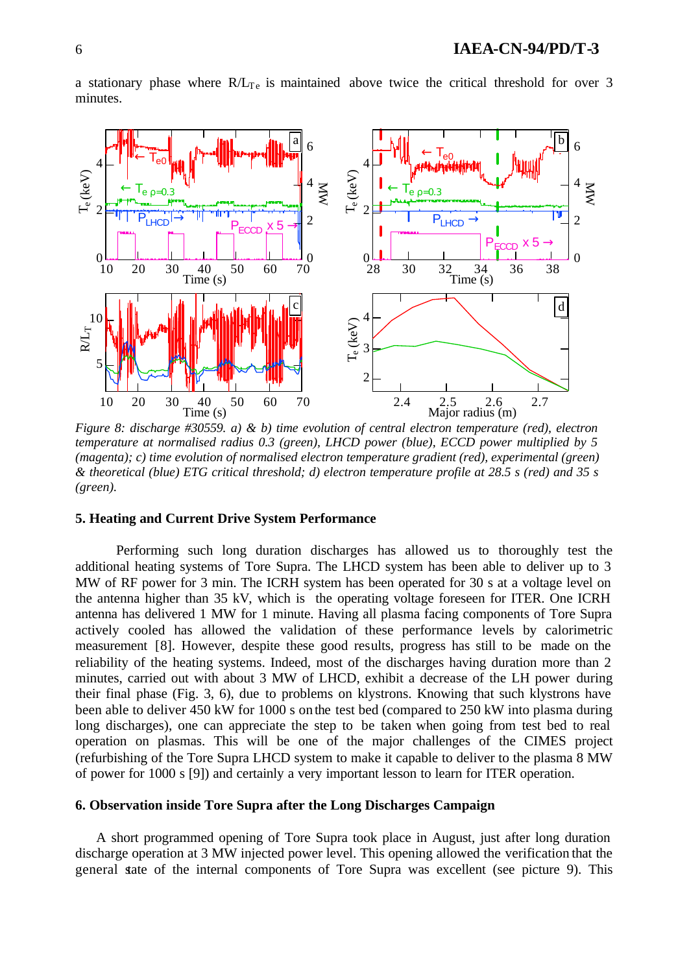

a stationary phase where  $R/L<sub>Te</sub>$  is maintained above twice the critical threshold for over 3 minutes.

*Figure 8: discharge #30559. a) & b) time evolution of central electron temperature (red), electron temperature at normalised radius 0.3 (green), LHCD power (blue), ECCD power multiplied by 5 (magenta); c) time evolution of normalised electron temperature gradient (red), experimental (green) & theoretical (blue) ETG critical threshold; d) electron temperature profile at 28.5 s (red) and 35 s (green).*

### **5. Heating and Current Drive System Performance**

Performing such long duration discharges has allowed us to thoroughly test the additional heating systems of Tore Supra. The LHCD system has been able to deliver up to 3 MW of RF power for 3 min. The ICRH system has been operated for 30 s at a voltage level on the antenna higher than 35 kV, which is the operating voltage foreseen for ITER. One ICRH antenna has delivered 1 MW for 1 minute. Having all plasma facing components of Tore Supra actively cooled has allowed the validation of these performance levels by calorimetric measurement [8]. However, despite these good results, progress has still to be made on the reliability of the heating systems. Indeed, most of the discharges having duration more than 2 minutes, carried out with about 3 MW of LHCD, exhibit a decrease of the LH power during their final phase (Fig. 3, 6), due to problems on klystrons. Knowing that such klystrons have been able to deliver 450 kW for 1000 s on the test bed (compared to 250 kW into plasma during long discharges), one can appreciate the step to be taken when going from test bed to real operation on plasmas. This will be one of the major challenges of the CIMES project (refurbishing of the Tore Supra LHCD system to make it capable to deliver to the plasma 8 MW of power for 1000 s [9]) and certainly a very important lesson to learn for ITER operation.

# **6. Observation inside Tore Supra after the Long Discharges Campaign**

A short programmed opening of Tore Supra took place in August, just after long duration discharge operation at 3 MW injected power level. This opening allowed the verification that the general state of the internal components of Tore Supra was excellent (see picture 9). This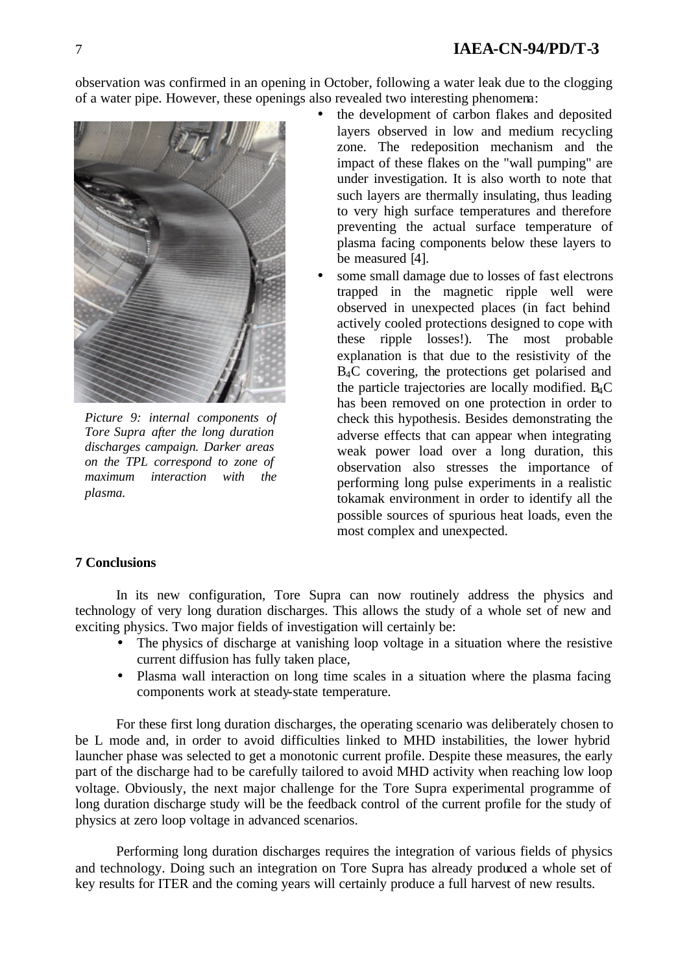observation was confirmed in an opening in October, following a water leak due to the clogging of a water pipe. However, these openings also revealed two interesting phenomena:



*Picture 9: internal components of Tore Supra after the long duration discharges campaign. Darker areas on the TPL correspond to zone of maximum interaction with the plasma.*

- the development of carbon flakes and deposited layers observed in low and medium recycling zone. The redeposition mechanism and the impact of these flakes on the "wall pumping" are under investigation. It is also worth to note that such layers are thermally insulating, thus leading to very high surface temperatures and therefore preventing the actual surface temperature of plasma facing components below these layers to be measured [4].
- some small damage due to losses of fast electrons trapped in the magnetic ripple well were observed in unexpected places (in fact behind actively cooled protections designed to cope with these ripple losses!). The most probable explanation is that due to the resistivity of the B4C covering, the protections get polarised and the particle trajectories are locally modified. B4C has been removed on one protection in order to check this hypothesis. Besides demonstrating the adverse effects that can appear when integrating weak power load over a long duration, this observation also stresses the importance of performing long pulse experiments in a realistic tokamak environment in order to identify all the possible sources of spurious heat loads, even the most complex and unexpected.

## **7 Conclusions**

In its new configuration, Tore Supra can now routinely address the physics and technology of very long duration discharges. This allows the study of a whole set of new and exciting physics. Two major fields of investigation will certainly be:

- The physics of discharge at vanishing loop voltage in a situation where the resistive current diffusion has fully taken place,
- Plasma wall interaction on long time scales in a situation where the plasma facing components work at steady-state temperature.

For these first long duration discharges, the operating scenario was deliberately chosen to be L mode and, in order to avoid difficulties linked to MHD instabilities, the lower hybrid launcher phase was selected to get a monotonic current profile. Despite these measures, the early part of the discharge had to be carefully tailored to avoid MHD activity when reaching low loop voltage. Obviously, the next major challenge for the Tore Supra experimental programme of long duration discharge study will be the feedback control of the current profile for the study of physics at zero loop voltage in advanced scenarios.

Performing long duration discharges requires the integration of various fields of physics and technology. Doing such an integration on Tore Supra has already produced a whole set of key results for ITER and the coming years will certainly produce a full harvest of new results.